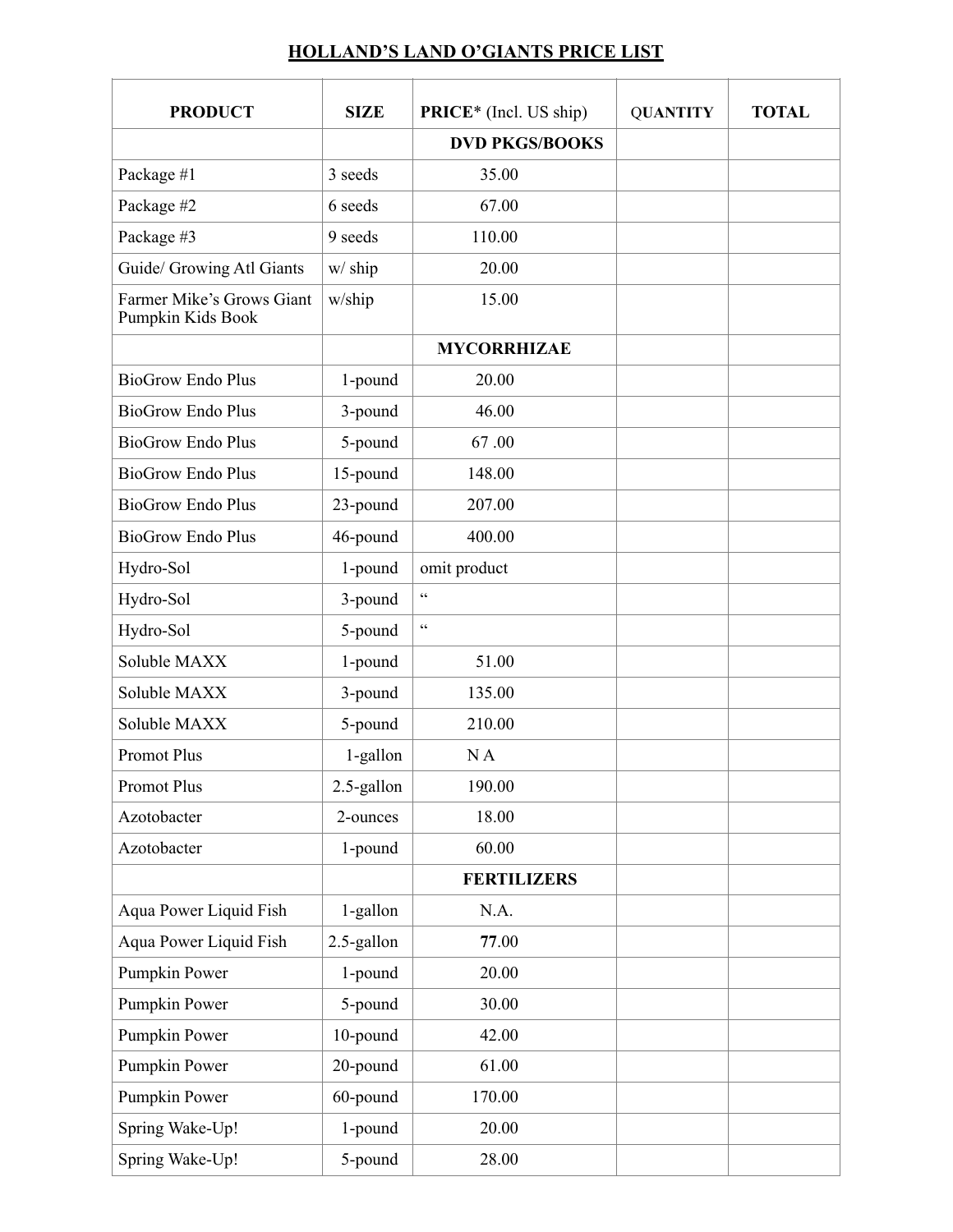## **HOLLAND'S LAND O'GIANTS PRICE LIST**

| <b>PRODUCT</b>                                 | <b>SIZE</b> | <b>PRICE*</b> (Incl. US ship) | <b>QUANTITY</b> | <b>TOTAL</b> |
|------------------------------------------------|-------------|-------------------------------|-----------------|--------------|
|                                                |             | <b>DVD PKGS/BOOKS</b>         |                 |              |
| Package #1                                     | 3 seeds     | 35.00                         |                 |              |
| Package #2                                     | 6 seeds     | 67.00                         |                 |              |
| Package #3                                     | 9 seeds     | 110.00                        |                 |              |
| Guide/ Growing Atl Giants                      | w/ ship     | 20.00                         |                 |              |
| Farmer Mike's Grows Giant<br>Pumpkin Kids Book | w/ship      | 15.00                         |                 |              |
|                                                |             | <b>MYCORRHIZAE</b>            |                 |              |
| <b>BioGrow Endo Plus</b>                       | 1-pound     | 20.00                         |                 |              |
| <b>BioGrow Endo Plus</b>                       | 3-pound     | 46.00                         |                 |              |
| <b>BioGrow Endo Plus</b>                       | 5-pound     | 67.00                         |                 |              |
| <b>BioGrow Endo Plus</b>                       | 15-pound    | 148.00                        |                 |              |
| <b>BioGrow Endo Plus</b>                       | 23-pound    | 207.00                        |                 |              |
| <b>BioGrow Endo Plus</b>                       | 46-pound    | 400.00                        |                 |              |
| Hydro-Sol                                      | 1-pound     | omit product                  |                 |              |
| Hydro-Sol                                      | 3-pound     | $\zeta$ $\zeta$               |                 |              |
| Hydro-Sol                                      | 5-pound     | $\zeta\,\zeta$                |                 |              |
| Soluble MAXX                                   | 1-pound     | 51.00                         |                 |              |
| Soluble MAXX                                   | 3-pound     | 135.00                        |                 |              |
| Soluble MAXX                                   | 5-pound     | 210.00                        |                 |              |
| <b>Promot Plus</b>                             | 1-gallon    | NA                            |                 |              |
| <b>Promot Plus</b>                             | 2.5-gallon  | 190.00                        |                 |              |
| Azotobacter                                    | 2-ounces    | 18.00                         |                 |              |
| Azotobacter                                    | 1-pound     | 60.00                         |                 |              |
|                                                |             | <b>FERTILIZERS</b>            |                 |              |
| Aqua Power Liquid Fish                         | 1-gallon    | N.A.                          |                 |              |
| Aqua Power Liquid Fish                         | 2.5-gallon  | 77.00                         |                 |              |
| Pumpkin Power                                  | 1-pound     | 20.00                         |                 |              |
| Pumpkin Power                                  | 5-pound     | 30.00                         |                 |              |
| Pumpkin Power                                  | 10-pound    | 42.00                         |                 |              |
| Pumpkin Power                                  | 20-pound    | 61.00                         |                 |              |
| Pumpkin Power                                  | 60-pound    | 170.00                        |                 |              |
| Spring Wake-Up!                                | 1-pound     | 20.00                         |                 |              |
| Spring Wake-Up!                                | 5-pound     | 28.00                         |                 |              |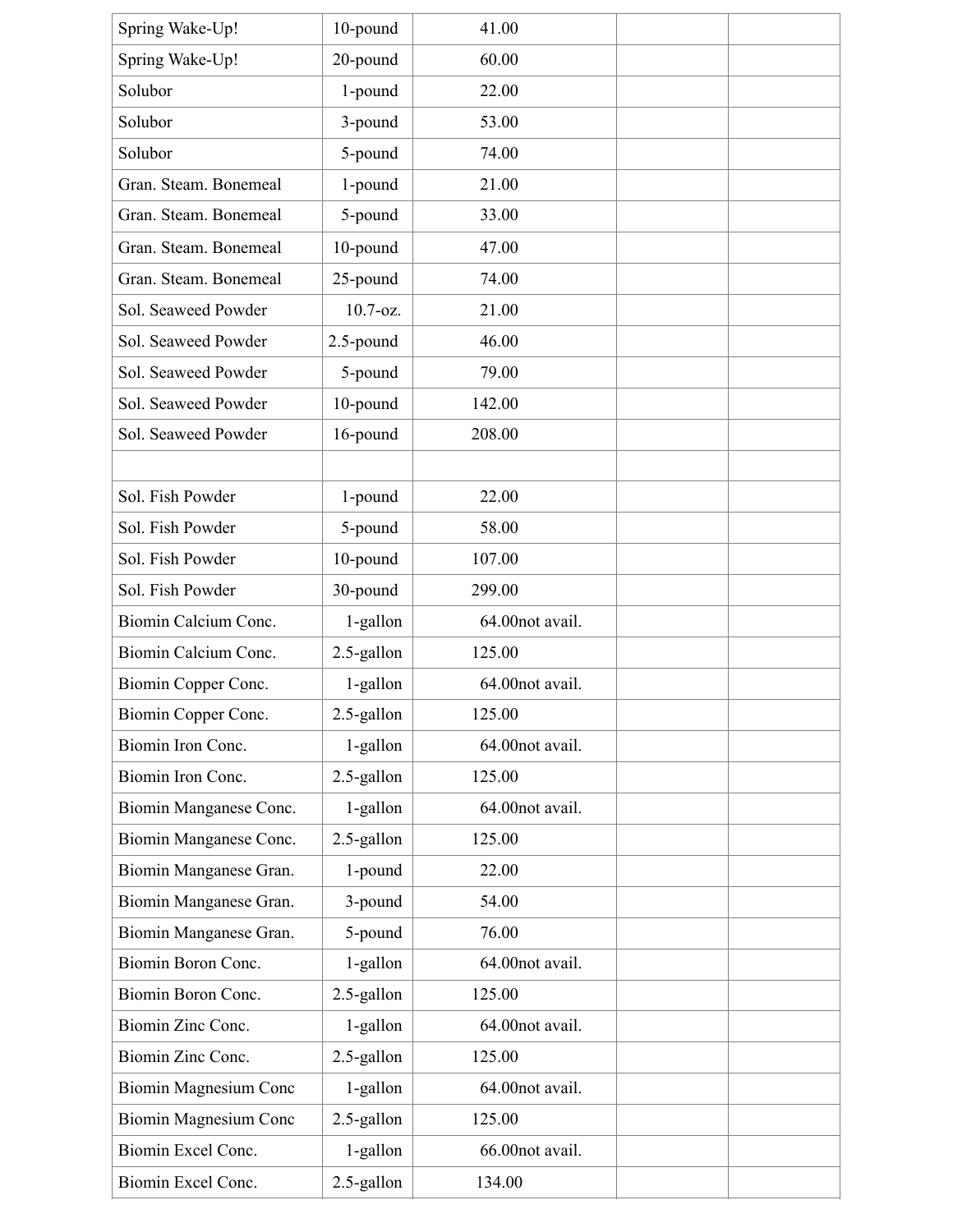| Spring Wake-Up!              | 10-pound     | 41.00           |  |
|------------------------------|--------------|-----------------|--|
| Spring Wake-Up!              | 20-pound     | 60.00           |  |
| Solubor                      | 1-pound      | 22.00           |  |
| Solubor                      | 3-pound      | 53.00           |  |
| Solubor                      | 5-pound      | 74.00           |  |
| Gran. Steam. Bonemeal        | 1-pound      | 21.00           |  |
| Gran. Steam. Bonemeal        | 5-pound      | 33.00           |  |
| Gran. Steam. Bonemeal        | 10-pound     | 47.00           |  |
| Gran. Steam. Bonemeal        | 25-pound     | 74.00           |  |
| Sol. Seaweed Powder          | $10.7 - oz.$ | 21.00           |  |
| Sol. Seaweed Powder          | 2.5-pound    | 46.00           |  |
| Sol. Seaweed Powder          | 5-pound      | 79.00           |  |
| Sol. Seaweed Powder          | 10-pound     | 142.00          |  |
| Sol. Seaweed Powder          | 16-pound     | 208.00          |  |
|                              |              |                 |  |
| Sol. Fish Powder             | 1-pound      | 22.00           |  |
| Sol. Fish Powder             | 5-pound      | 58.00           |  |
| Sol. Fish Powder             | 10-pound     | 107.00          |  |
| Sol. Fish Powder             | 30-pound     | 299.00          |  |
| Biomin Calcium Conc.         | 1-gallon     | 64.00not avail. |  |
| Biomin Calcium Conc.         | 2.5-gallon   | 125.00          |  |
| Biomin Copper Conc.          | 1-gallon     | 64.00not avail. |  |
| Biomin Copper Conc.          | 2.5-gallon   | 125.00          |  |
| Biomin Iron Conc.            | 1-gallon     | 64.00not avail. |  |
| Biomin Iron Conc.            | 2.5-gallon   | 125.00          |  |
| Biomin Manganese Conc.       | 1-gallon     | 64.00not avail. |  |
| Biomin Manganese Conc.       | 2.5-gallon   | 125.00          |  |
| Biomin Manganese Gran.       | 1-pound      | 22.00           |  |
| Biomin Manganese Gran.       | 3-pound      | 54.00           |  |
| Biomin Manganese Gran.       | 5-pound      | 76.00           |  |
| Biomin Boron Conc.           | 1-gallon     | 64.00not avail. |  |
| Biomin Boron Conc.           | 2.5-gallon   | 125.00          |  |
| Biomin Zinc Conc.            | 1-gallon     | 64.00not avail. |  |
| Biomin Zinc Conc.            | 2.5-gallon   | 125.00          |  |
| <b>Biomin Magnesium Conc</b> | 1-gallon     | 64.00not avail. |  |
| Biomin Magnesium Conc        | 2.5-gallon   | 125.00          |  |
| Biomin Excel Conc.           | 1-gallon     | 66.00not avail. |  |
| Biomin Excel Conc.           | 2.5-gallon   | 134.00          |  |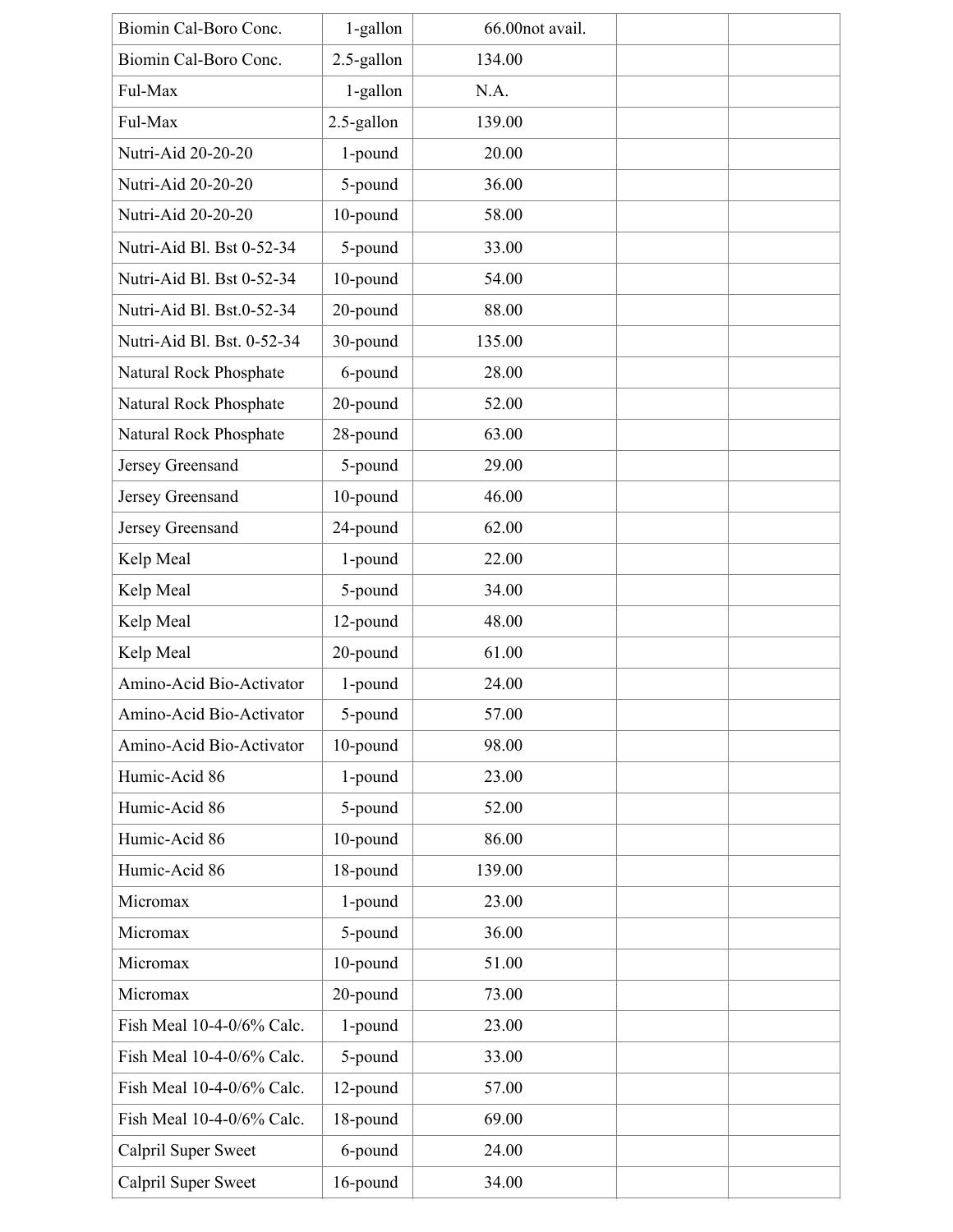| Biomin Cal-Boro Conc.      | 1-gallon   | 66.00not avail. |  |
|----------------------------|------------|-----------------|--|
| Biomin Cal-Boro Conc.      | 2.5-gallon | 134.00          |  |
| Ful-Max                    | 1-gallon   | N.A.            |  |
| Ful-Max                    | 2.5-gallon | 139.00          |  |
| Nutri-Aid 20-20-20         | 1-pound    | 20.00           |  |
| Nutri-Aid 20-20-20         | 5-pound    | 36.00           |  |
| Nutri-Aid 20-20-20         | 10-pound   | 58.00           |  |
| Nutri-Aid Bl. Bst 0-52-34  | 5-pound    | 33.00           |  |
| Nutri-Aid Bl. Bst 0-52-34  | 10-pound   | 54.00           |  |
| Nutri-Aid Bl. Bst.0-52-34  | 20-pound   | 88.00           |  |
| Nutri-Aid Bl. Bst. 0-52-34 | 30-pound   | 135.00          |  |
| Natural Rock Phosphate     | 6-pound    | 28.00           |  |
| Natural Rock Phosphate     | 20-pound   | 52.00           |  |
| Natural Rock Phosphate     | 28-pound   | 63.00           |  |
| Jersey Greensand           | 5-pound    | 29.00           |  |
| Jersey Greensand           | 10-pound   | 46.00           |  |
| Jersey Greensand           | 24-pound   | 62.00           |  |
| Kelp Meal                  | 1-pound    | 22.00           |  |
| Kelp Meal                  | 5-pound    | 34.00           |  |
| Kelp Meal                  | 12-pound   | 48.00           |  |
| Kelp Meal                  | 20-pound   | 61.00           |  |
| Amino-Acid Bio-Activator   | 1-pound    | 24.00           |  |
| Amino-Acid Bio-Activator   | 5-pound    | 57.00           |  |
| Amino-Acid Bio-Activator   | 10-pound   | 98.00           |  |
| Humic-Acid 86              | 1-pound    | 23.00           |  |
| Humic-Acid 86              | 5-pound    | 52.00           |  |
| Humic-Acid 86              | 10-pound   | 86.00           |  |
| Humic-Acid 86              | 18-pound   | 139.00          |  |
| Micromax                   | 1-pound    | 23.00           |  |
| Micromax                   | 5-pound    | 36.00           |  |
| Micromax                   | 10-pound   | 51.00           |  |
| Micromax                   | 20-pound   | 73.00           |  |
| Fish Meal 10-4-0/6% Calc.  | 1-pound    | 23.00           |  |
| Fish Meal 10-4-0/6% Calc.  | 5-pound    | 33.00           |  |
| Fish Meal 10-4-0/6% Calc.  | 12-pound   | 57.00           |  |
| Fish Meal 10-4-0/6% Calc.  | 18-pound   | 69.00           |  |
| Calpril Super Sweet        | 6-pound    | 24.00           |  |
| Calpril Super Sweet        | 16-pound   | 34.00           |  |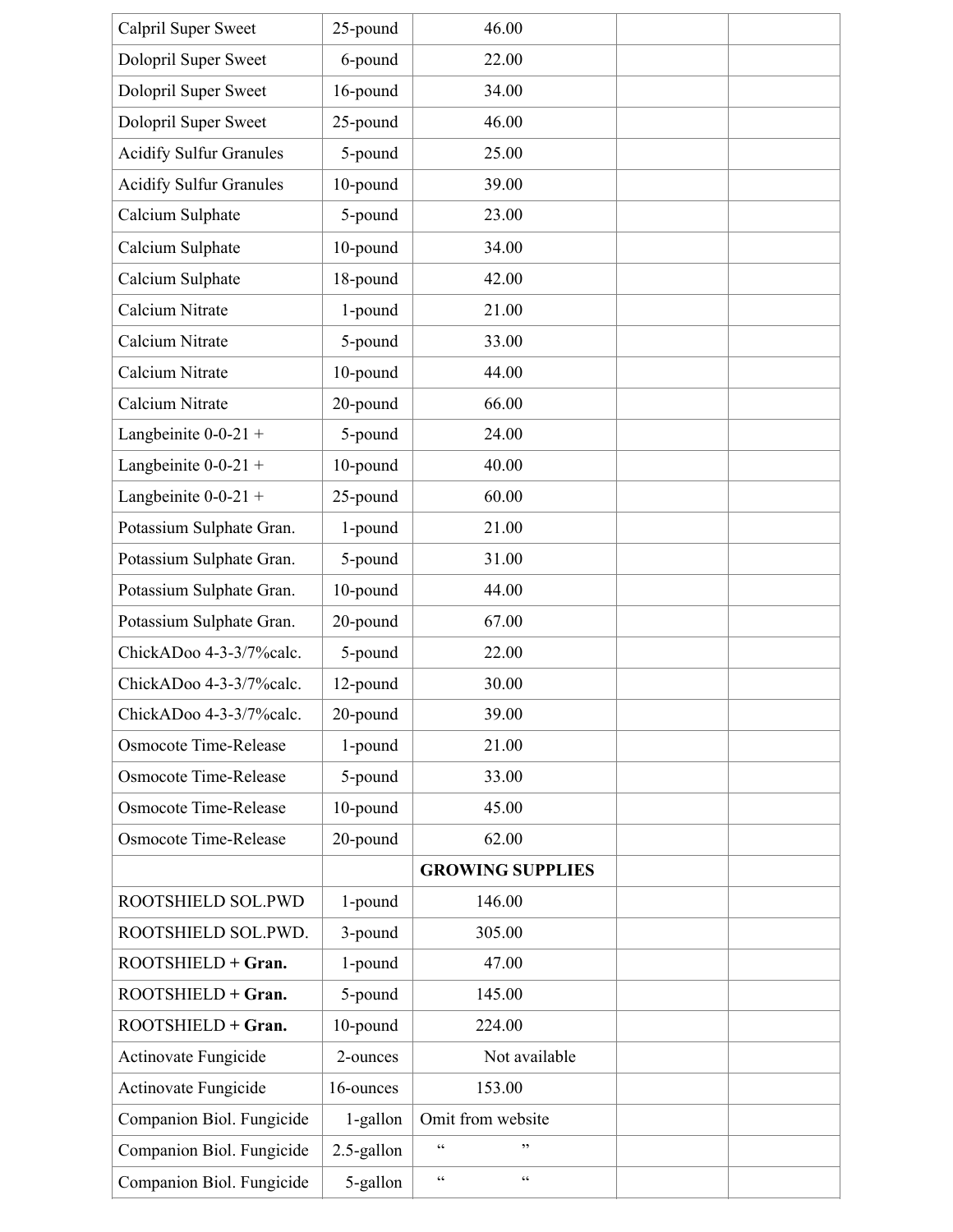| Calpril Super Sweet            | 25-pound   | 46.00                             |  |
|--------------------------------|------------|-----------------------------------|--|
| Dolopril Super Sweet           | 6-pound    | 22.00                             |  |
| Dolopril Super Sweet           | 16-pound   | 34.00                             |  |
| Dolopril Super Sweet           | 25-pound   | 46.00                             |  |
| <b>Acidify Sulfur Granules</b> | 5-pound    | 25.00                             |  |
| <b>Acidify Sulfur Granules</b> | 10-pound   | 39.00                             |  |
| Calcium Sulphate               | 5-pound    | 23.00                             |  |
| Calcium Sulphate               | 10-pound   | 34.00                             |  |
| Calcium Sulphate               | 18-pound   | 42.00                             |  |
| Calcium Nitrate                | 1-pound    | 21.00                             |  |
| Calcium Nitrate                | 5-pound    | 33.00                             |  |
| Calcium Nitrate                | 10-pound   | 44.00                             |  |
| Calcium Nitrate                | 20-pound   | 66.00                             |  |
| Langbeinite $0-0-21$ +         | 5-pound    | 24.00                             |  |
| Langbeinite $0-0-21$ +         | 10-pound   | 40.00                             |  |
| Langbeinite $0-0-21$ +         | 25-pound   | 60.00                             |  |
| Potassium Sulphate Gran.       | 1-pound    | 21.00                             |  |
| Potassium Sulphate Gran.       | 5-pound    | 31.00                             |  |
| Potassium Sulphate Gran.       | 10-pound   | 44.00                             |  |
| Potassium Sulphate Gran.       | 20-pound   | 67.00                             |  |
| ChickADoo 4-3-3/7%calc.        | 5-pound    | 22.00                             |  |
| ChickADoo 4-3-3/7%calc.        | 12-pound   | 30.00                             |  |
| ChickADoo 4-3-3/7%calc.        | 20-pound   | 39.00                             |  |
| <b>Osmocote Time-Release</b>   | 1-pound    | 21.00                             |  |
| <b>Osmocote Time-Release</b>   | 5-pound    | 33.00                             |  |
| <b>Osmocote Time-Release</b>   | 10-pound   | 45.00                             |  |
| Osmocote Time-Release          | 20-pound   | 62.00                             |  |
|                                |            | <b>GROWING SUPPLIES</b>           |  |
| ROOTSHIELD SOL.PWD             | 1-pound    | 146.00                            |  |
| ROOTSHIELD SOL.PWD.            | 3-pound    | 305.00                            |  |
| ROOTSHIELD + Gran.             | 1-pound    | 47.00                             |  |
| ROOTSHIELD + Gran.             | 5-pound    | 145.00                            |  |
| ROOTSHIELD + Gran.             | 10-pound   | 224.00                            |  |
| Actinovate Fungicide           | 2-ounces   | Not available                     |  |
| Actinovate Fungicide           | 16-ounces  | 153.00                            |  |
| Companion Biol. Fungicide      | 1-gallon   | Omit from website                 |  |
| Companion Biol. Fungicide      | 2.5-gallon | $\zeta$ $\zeta$<br>,,             |  |
| Companion Biol. Fungicide      | 5-gallon   | $\zeta\,\zeta$<br>$\zeta$ $\zeta$ |  |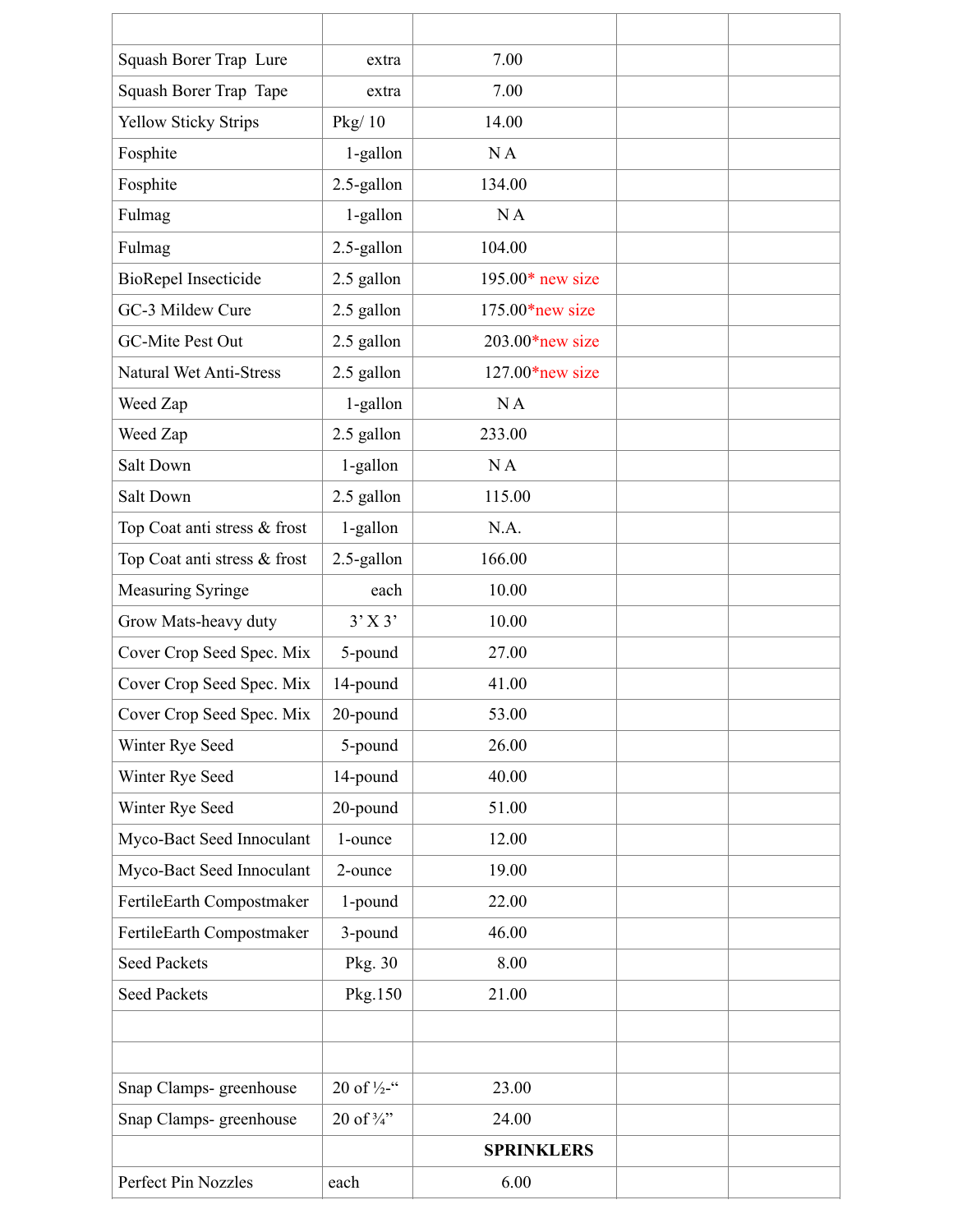| Squash Borer Trap Lure         | extra                  | 7.00               |  |
|--------------------------------|------------------------|--------------------|--|
| Squash Borer Trap Tape         | extra                  | 7.00               |  |
| <b>Yellow Sticky Strips</b>    | Pkg/10                 | 14.00              |  |
| Fosphite                       | 1-gallon               | NA                 |  |
| Fosphite                       | 2.5-gallon             | 134.00             |  |
| Fulmag                         | 1-gallon               | NA                 |  |
| Fulmag                         | 2.5-gallon             | 104.00             |  |
| <b>BioRepel Insecticide</b>    | 2.5 gallon             | $195.00*$ new size |  |
| GC-3 Mildew Cure               | 2.5 gallon             | $175.00*$ new size |  |
| GC-Mite Pest Out               | 2.5 gallon             | $203.00*$ new size |  |
| <b>Natural Wet Anti-Stress</b> | 2.5 gallon             | $127.00*$ new size |  |
| Weed Zap                       | 1-gallon               | NA                 |  |
| Weed Zap                       | 2.5 gallon             | 233.00             |  |
| Salt Down                      | 1-gallon               | NA                 |  |
| Salt Down                      | 2.5 gallon             | 115.00             |  |
| Top Coat anti stress & frost   | 1-gallon               | N.A.               |  |
| Top Coat anti stress & frost   | 2.5-gallon             | 166.00             |  |
| <b>Measuring Syringe</b>       | each                   | 10.00              |  |
| Grow Mats-heavy duty           | $3'$ X 3'              | 10.00              |  |
| Cover Crop Seed Spec. Mix      | 5-pound                | 27.00              |  |
| Cover Crop Seed Spec. Mix      | 14-pound               | 41.00              |  |
| Cover Crop Seed Spec. Mix      | 20-pound               | 53.00              |  |
| Winter Rye Seed                | 5-pound                | 26.00              |  |
| Winter Rye Seed                | 14-pound               | 40.00              |  |
| Winter Rye Seed                | 20-pound               | 51.00              |  |
| Myco-Bact Seed Innoculant      | 1-ounce                | 12.00              |  |
| Myco-Bact Seed Innoculant      | 2-ounce                | 19.00              |  |
| FertileEarth Compostmaker      | 1-pound                | 22.00              |  |
| FertileEarth Compostmaker      | 3-pound                | 46.00              |  |
| <b>Seed Packets</b>            | Pkg. 30                | 8.00               |  |
| <b>Seed Packets</b>            | Pkg.150                | 21.00              |  |
|                                |                        |                    |  |
|                                |                        |                    |  |
| Snap Clamps- greenhouse        | 20 of $\frac{1}{2}$ -" | 23.00              |  |
| Snap Clamps- greenhouse        | 20 of 3/4"             | 24.00              |  |
|                                |                        | <b>SPRINKLERS</b>  |  |
| Perfect Pin Nozzles            | each                   | 6.00               |  |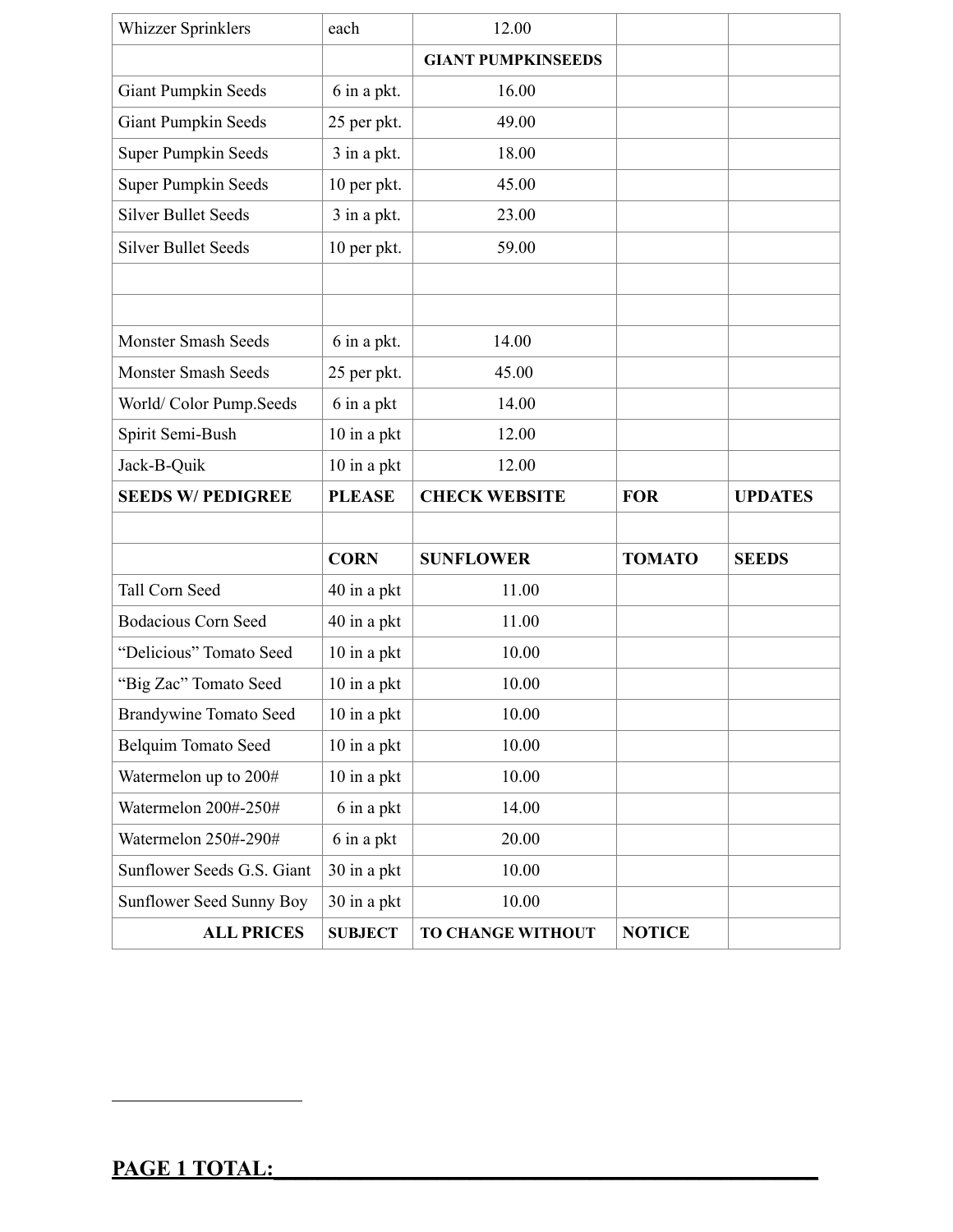| <b>Whizzer Sprinklers</b>     | each          | 12.00                     |               |                |
|-------------------------------|---------------|---------------------------|---------------|----------------|
|                               |               | <b>GIANT PUMPKINSEEDS</b> |               |                |
| <b>Giant Pumpkin Seeds</b>    | 6 in a pkt.   | 16.00                     |               |                |
| <b>Giant Pumpkin Seeds</b>    | 25 per pkt.   | 49.00                     |               |                |
| <b>Super Pumpkin Seeds</b>    | 3 in a pkt.   | 18.00                     |               |                |
| <b>Super Pumpkin Seeds</b>    | 10 per pkt.   | 45.00                     |               |                |
| <b>Silver Bullet Seeds</b>    | 3 in a pkt.   | 23.00                     |               |                |
| <b>Silver Bullet Seeds</b>    | 10 per pkt.   | 59.00                     |               |                |
|                               |               |                           |               |                |
|                               |               |                           |               |                |
| <b>Monster Smash Seeds</b>    | 6 in a pkt.   | 14.00                     |               |                |
| <b>Monster Smash Seeds</b>    | 25 per pkt.   | 45.00                     |               |                |
| World/Color Pump.Seeds        | 6 in a pkt    | 14.00                     |               |                |
| Spirit Semi-Bush              | 10 in a pkt   | 12.00                     |               |                |
| Jack-B-Quik                   | 10 in a pkt   | 12.00                     |               |                |
|                               |               |                           |               |                |
| <b>SEEDS W/ PEDIGREE</b>      | <b>PLEASE</b> | <b>CHECK WEBSITE</b>      | <b>FOR</b>    | <b>UPDATES</b> |
|                               |               |                           |               |                |
|                               | <b>CORN</b>   | <b>SUNFLOWER</b>          | <b>TOMATO</b> | <b>SEEDS</b>   |
| Tall Corn Seed                | 40 in a pkt   | 11.00                     |               |                |
| <b>Bodacious Corn Seed</b>    | 40 in a pkt   | 11.00                     |               |                |
| "Delicious" Tomato Seed       | 10 in a pkt   | 10.00                     |               |                |
| "Big Zac" Tomato Seed         | 10 in a pkt   | 10.00                     |               |                |
| <b>Brandywine Tomato Seed</b> | 10 in a pkt   | 10.00                     |               |                |
| <b>Belquim Tomato Seed</b>    | 10 in a pkt   | 10.00                     |               |                |
| Watermelon up to 200#         | 10 in a pkt   | 10.00                     |               |                |
| Watermelon 200#-250#          | 6 in a pkt    | 14.00                     |               |                |
| Watermelon 250#-290#          | 6 in a pkt    | 20.00                     |               |                |
| Sunflower Seeds G.S. Giant    | 30 in a pkt   | 10.00                     |               |                |
| Sunflower Seed Sunny Boy      | 30 in a pkt   | 10.00                     |               |                |

l,